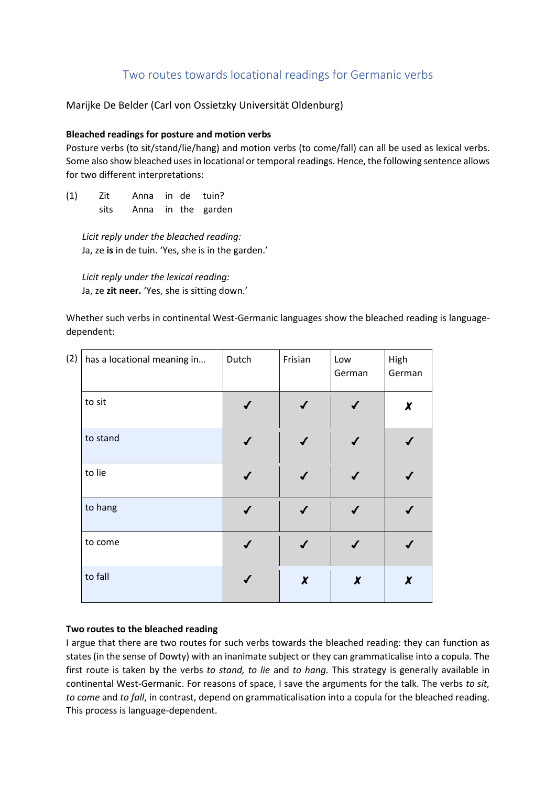## Two routes towards locational readings for Germanic verbs

Marijke De Belder (Carl von Ossietzky Universität Oldenburg)

## **Bleached readings for posture and motion verbs**

Posture verbs (to sit/stand/lie/hang) and motion verbs (to come/fall) can all be used as lexical verbs. Some also show bleached usesin locational or temporal readings. Hence, the following sentence allows for two different interpretations:

(1) Zit Anna in de tuin? sits Anna in the garden

*Licit reply under the bleached reading:* Ja, ze **is** in de tuin. 'Yes, she is in the garden.'

*Licit reply under the lexical reading:* Ja, ze **zit neer.** 'Yes, she is sitting down.'

Whether such verbs in continental West-Germanic languages show the bleached reading is languagedependent:

| (2) | has a locational meaning in | Dutch | Frisian      | Low<br>German       | High<br>German |
|-----|-----------------------------|-------|--------------|---------------------|----------------|
|     | to sit                      |       |              |                     | X              |
|     | to stand                    |       |              |                     |                |
|     | to lie                      |       |              |                     |                |
|     | to hang                     |       |              |                     |                |
|     | to come                     |       |              |                     |                |
|     | to fall                     |       | $\pmb{\chi}$ | $\boldsymbol{\chi}$ | X              |

## **Two routes to the bleached reading**

I argue that there are two routes for such verbs towards the bleached reading: they can function as states (in the sense of Dowty) with an inanimate subject or they can grammaticalise into a copula. The first route is taken by the verbs *to stand, to lie* and *to hang.* This strategy is generally available in continental West-Germanic. For reasons of space, I save the arguments for the talk. The verbs *to sit, to come* and *to fall*, in contrast, depend on grammaticalisation into a copula for the bleached reading. This process is language-dependent.